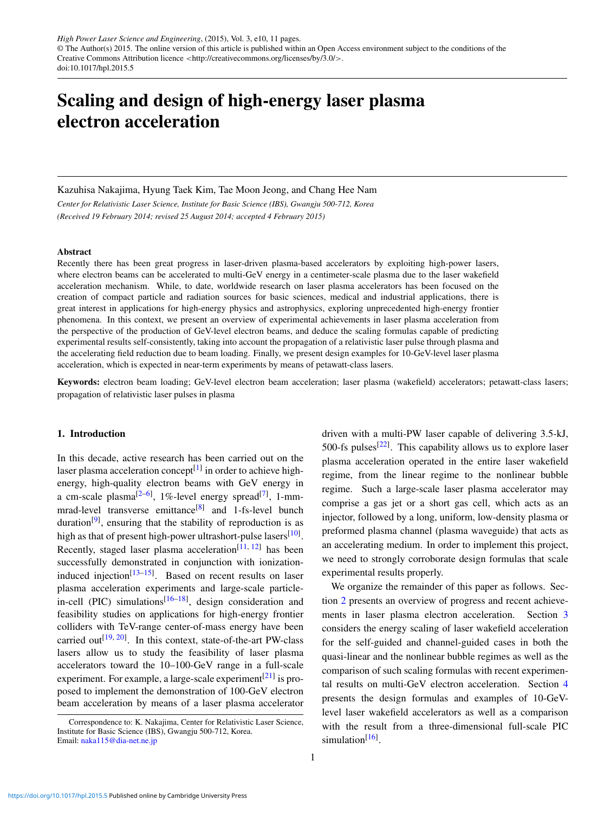# Scaling and design of high-energy laser plasma electron acceleration

Kazuhisa Nakajima, Hyung Taek Kim, Tae Moon Jeong, and Chang Hee Nam

*Center for Relativistic Laser Science, Institute for Basic Science (IBS), Gwangju 500-712, Korea (Received 19 February 2014; revised 25 August 2014; accepted 4 February 2015)*

#### Abstract

Recently there has been great progress in laser-driven plasma-based accelerators by exploiting high-power lasers, where electron beams can be accelerated to multi-GeV energy in a centimeter-scale plasma due to the laser wakefield acceleration mechanism. While, to date, worldwide research on laser plasma accelerators has been focused on the creation of compact particle and radiation sources for basic sciences, medical and industrial applications, there is great interest in applications for high-energy physics and astrophysics, exploring unprecedented high-energy frontier phenomena. In this context, we present an overview of experimental achievements in laser plasma acceleration from the perspective of the production of GeV-level electron beams, and deduce the scaling formulas capable of predicting experimental results self-consistently, taking into account the propagation of a relativistic laser pulse through plasma and the accelerating field reduction due to beam loading. Finally, we present design examples for 10-GeV-level laser plasma acceleration, which is expected in near-term experiments by means of petawatt-class lasers.

Keywords: electron beam loading; GeV-level electron beam acceleration; laser plasma (wakefield) accelerators; petawatt-class lasers; propagation of relativistic laser pulses in plasma

# 1. Introduction

In this decade, active research has been carried out on the laser plasma acceleration concept<sup>[1]</sup> in order to achieve highenergy, high-quality electron beams with GeV energy in a cm-scale plasma<sup>[2-6]</sup>, 1%-level energy spread<sup>[7]</sup>, 1-mmmrad-level transverse emittance<sup>[8]</sup> and 1-fs-level bunch duration<sup>[9]</sup>, ensuring that the stability of reproduction is as high as that of present high-power ultrashort-pulse lasers<sup>[10]</sup>. Recently, staged laser plasma acceleration<sup>[11, 12]</sup> has been successfully demonstrated in conjunction with ionizationinduced injection<sup>[13–15]</sup>. Based on recent results on laser plasma acceleration experiments and large-scale particlein-cell (PIC) simulations<sup>[16–18]</sup>, design consideration and feasibility studies on applications for high-energy frontier colliders with TeV-range center-of-mass energy have been carried out<sup>[19, 20]</sup>. In this context, state-of-the-art PW-class lasers allow us to study the feasibility of laser plasma accelerators toward the 10–100-GeV range in a full-scale experiment. For example, a large-scale experiment<sup>[21]</sup> is proposed to implement the demonstration of 100-GeV electron beam acceleration by means of a laser plasma accelerator driven with a multi-PW laser capable of delivering 3.5-kJ, 500-fs pulses $^{[22]}$ . This capability allows us to explore laser plasma acceleration operated in the entire laser wakefield regime, from the linear regime to the nonlinear bubble regime. Such a large-scale laser plasma accelerator may comprise a gas jet or a short gas cell, which acts as an injector, followed by a long, uniform, low-density plasma or preformed plasma channel (plasma waveguide) that acts as an accelerating medium. In order to implement this project, we need to strongly corroborate design formulas that scale experimental results properly.

We organize the remainder of this paper as follows. Section 2 presents an overview of progress and recent achievements in laser plasma electron acceleration. Section 3 considers the energy scaling of laser wakefield acceleration for the self-guided and channel-guided cases in both the quasi-linear and the nonlinear bubble regimes as well as the comparison of such scaling formulas with recent experimental results on multi-GeV electron acceleration. Section 4 presents the design formulas and examples of 10-GeVlevel laser wakefield accelerators as well as a comparison with the result from a three-dimensional full-scale PIC simulation<sup>[16]</sup>.

Correspondence to: K. Nakajima, Center for Relativistic Laser Science, Institute for Basic Science (IBS), Gwangju 500-712, Korea. Email: naka115@dia-net.ne.jp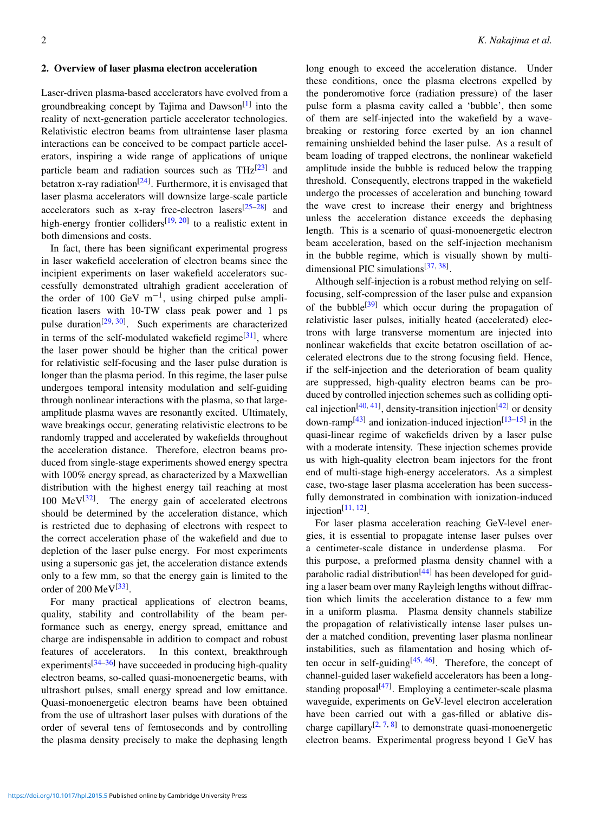# 2. Overview of laser plasma electron acceleration

Laser-driven plasma-based accelerators have evolved from a groundbreaking concept by Tajima and Dawson<sup>[1]</sup> into the reality of next-generation particle accelerator technologies. Relativistic electron beams from ultraintense laser plasma interactions can be conceived to be compact particle accelerators, inspiring a wide range of applications of unique particle beam and radiation sources such as  $THz^{[23]}$  and betatron x-ray radiation<sup>[24]</sup>. Furthermore, it is envisaged that laser plasma accelerators will downsize large-scale particle accelerators such as x-ray free-electron lasers $[25-28]$  and high-energy frontier colliders<sup>[19, 20]</sup> to a realistic extent in both dimensions and costs.

In fact, there has been significant experimental progress in laser wakefield acceleration of electron beams since the incipient experiments on laser wakefield accelerators successfully demonstrated ultrahigh gradient acceleration of the order of 100 GeV  $m^{-1}$ , using chirped pulse amplification lasers with 10-TW class peak power and 1 ps pulse duration<sup>[29, 30]</sup>. Such experiments are characterized in terms of the self-modulated wakefield regime<sup>[31]</sup>, where the laser power should be higher than the critical power for relativistic self-focusing and the laser pulse duration is longer than the plasma period. In this regime, the laser pulse undergoes temporal intensity modulation and self-guiding through nonlinear interactions with the plasma, so that largeamplitude plasma waves are resonantly excited. Ultimately, wave breakings occur, generating relativistic electrons to be randomly trapped and accelerated by wakefields throughout the acceleration distance. Therefore, electron beams produced from single-stage experiments showed energy spectra with 100% energy spread, as characterized by a Maxwellian distribution with the highest energy tail reaching at most 100  $\text{MeV}^{[32]}$ . The energy gain of accelerated electrons should be determined by the acceleration distance, which is restricted due to dephasing of electrons with respect to the correct acceleration phase of the wakefield and due to depletion of the laser pulse energy. For most experiments using a supersonic gas jet, the acceleration distance extends only to a few mm, so that the energy gain is limited to the order of 200 MeV<sup>[33]</sup>.

For many practical applications of electron beams, quality, stability and controllability of the beam performance such as energy, energy spread, emittance and charge are indispensable in addition to compact and robust features of accelerators. In this context, breakthrough experiments $[34-36]$  have succeeded in producing high-quality electron beams, so-called quasi-monoenergetic beams, with ultrashort pulses, small energy spread and low emittance. Quasi-monoenergetic electron beams have been obtained from the use of ultrashort laser pulses with durations of the order of several tens of femtoseconds and by controlling the plasma density precisely to make the dephasing length long enough to exceed the acceleration distance. Under these conditions, once the plasma electrons expelled by the ponderomotive force (radiation pressure) of the laser pulse form a plasma cavity called a 'bubble', then some of them are self-injected into the wakefield by a wavebreaking or restoring force exerted by an ion channel remaining unshielded behind the laser pulse. As a result of beam loading of trapped electrons, the nonlinear wakefield amplitude inside the bubble is reduced below the trapping threshold. Consequently, electrons trapped in the wakefield undergo the processes of acceleration and bunching toward the wave crest to increase their energy and brightness unless the acceleration distance exceeds the dephasing length. This is a scenario of quasi-monoenergetic electron beam acceleration, based on the self-injection mechanism in the bubble regime, which is visually shown by multidimensional PIC simulations<sup>[37, 38]</sup>.

Although self-injection is a robust method relying on selffocusing, self-compression of the laser pulse and expansion of the bubble<sup>[39]</sup> which occur during the propagation of relativistic laser pulses, initially heated (accelerated) electrons with large transverse momentum are injected into nonlinear wakefields that excite betatron oscillation of accelerated electrons due to the strong focusing field. Hence, if the self-injection and the deterioration of beam quality are suppressed, high-quality electron beams can be produced by controlled injection schemes such as colliding optical injection<sup>[40, 41]</sup>, density-transition injection<sup>[42]</sup> or density down-ramp<sup>[43]</sup> and ionization-induced injection<sup>[13–15]</sup> in the quasi-linear regime of wakefields driven by a laser pulse with a moderate intensity. These injection schemes provide us with high-quality electron beam injectors for the front end of multi-stage high-energy accelerators. As a simplest case, two-stage laser plasma acceleration has been successfully demonstrated in combination with ionization-induced injection $^{[11, 12]}$ .

For laser plasma acceleration reaching GeV-level energies, it is essential to propagate intense laser pulses over a centimeter-scale distance in underdense plasma. For this purpose, a preformed plasma density channel with a parabolic radial distribution<sup>[44]</sup> has been developed for guiding a laser beam over many Rayleigh lengths without diffraction which limits the acceleration distance to a few mm in a uniform plasma. Plasma density channels stabilize the propagation of relativistically intense laser pulses under a matched condition, preventing laser plasma nonlinear instabilities, such as filamentation and hosing which often occur in self-guiding<sup>[45, 46]</sup>. Therefore, the concept of channel-guided laser wakefield accelerators has been a longstanding proposal<sup>[47]</sup>. Employing a centimeter-scale plasma waveguide, experiments on GeV-level electron acceleration have been carried out with a gas-filled or ablative discharge capillary<sup>[2, 7, 8]</sup> to demonstrate quasi-monoenergetic electron beams. Experimental progress beyond 1 GeV has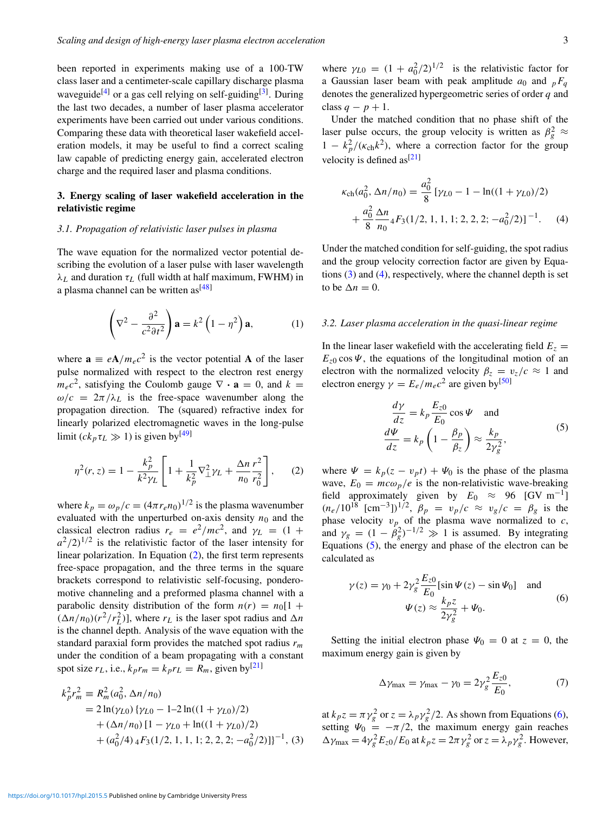been reported in experiments making use of a 100-TW class laser and a centimeter-scale capillary discharge plasma waveguide<sup>[4]</sup> or a gas cell relying on self-guiding<sup>[3]</sup>. During the last two decades, a number of laser plasma accelerator experiments have been carried out under various conditions. Comparing these data with theoretical laser wakefield acceleration models, it may be useful to find a correct scaling law capable of predicting energy gain, accelerated electron charge and the required laser and plasma conditions.

# 3. Energy scaling of laser wakefield acceleration in the relativistic regime

#### *3.1. Propagation of relativistic laser pulses in plasma*

The wave equation for the normalized vector potential describing the evolution of a laser pulse with laser wavelength  $\lambda_L$  and duration  $\tau_L$  (full width at half maximum, FWHM) in a plasma channel can be written  $as^{[48]}$ 

$$
\left(\nabla^2 - \frac{\partial^2}{c^2 \partial t^2}\right) \mathbf{a} = k^2 \left(1 - \eta^2\right) \mathbf{a},\tag{1}
$$

where  $\mathbf{a} \equiv e\mathbf{A}/m_e c^2$  is the vector potential **A** of the laser pulse normalized with respect to the electron rest energy  $m_ec^2$ , satisfying the Coulomb gauge  $\nabla \cdot \mathbf{a} = 0$ , and  $k =$  $\omega/c = 2\pi/\lambda_L$  is the free-space wavenumber along the propagation direction. The (squared) refractive index for linearly polarized electromagnetic waves in the long-pulse limit  $(ck_p \tau_l \gg 1)$  is given by<sup>[49]</sup>

$$
\eta^{2}(r,z) = 1 - \frac{k_{p}^{2}}{k^{2} \gamma_{L}} \left[ 1 + \frac{1}{k_{p}^{2}} \nabla_{\perp}^{2} \gamma_{L} + \frac{\Delta n}{n_{0}} \frac{r^{2}}{r_{0}^{2}} \right], \quad (2)
$$

where  $k_p = \omega_p/c = (4\pi r_e n_0)^{1/2}$  is the plasma wavenumber evaluated with the unperturbed on-axis density  $n_0$  and the classical electron radius  $r_e = e^2/mc^2$ , and  $\gamma_L = (1 +$  $a^2/2$ <sup>1/2</sup> is the relativistic factor of the laser intensity for linear polarization. In Equation (2), the first term represents free-space propagation, and the three terms in the square brackets correspond to relativistic self-focusing, ponderomotive channeling and a preformed plasma channel with a parabolic density distribution of the form  $n(r) = n_0[1 +$  $(\Delta n/n_0)(r^2/r_L^2)$ , where  $r_L$  is the laser spot radius and  $\Delta n$ is the channel depth. Analysis of the wave equation with the standard paraxial form provides the matched spot radius *rm* under the condition of a beam propagating with a constant spot size  $r_L$ , i.e.,  $k_p r_m = k_p r_L = R_m$ , given by<sup>[21]</sup>

$$
k_p^2 r_m^2 \equiv R_m^2 (a_0^2, \Delta n/n_0)
$$
  
= 2 ln( $\gamma_{L0}$ ) { $\gamma_{L0}$  - 1-2 ln((1 +  $\gamma_{L0}$ )/2)  
+ ( $\Delta n/n_0$ ) [1 -  $\gamma_{L0}$  + ln((1 +  $\gamma_{L0}$ )/2)  
+ ( $a_0^2/4$ ) 4  $F_3$ (1/2, 1, 1, 1; 2, 2, 2; - $a_0^2/2$ )]<sup>-1</sup>, (3)

where  $\gamma_{L0} = (1 + a_0^2/2)^{1/2}$  is the relativistic factor for a Gaussian laser beam with peak amplitude  $a_0$  and  $pF_q$ denotes the generalized hypergeometric series of order *q* and class  $q - p + 1$ .

Under the matched condition that no phase shift of the laser pulse occurs, the group velocity is written as  $\beta_g^2 \approx$  $1 - k_p^2/(\kappa_{\rm ch} k^2)$ , where a correction factor for the group velocity is defined  $as^{[21]}$ 

$$
\kappa_{\rm ch}(a_0^2, \Delta n/n_0) = \frac{a_0^2}{8} \left[ \gamma_{L0} - 1 - \ln((1 + \gamma_{L0})/2) + \frac{a_0^2}{8} \frac{\Delta n}{n_0} \right. \left. 4F_3(1/2, 1, 1, 1; 2, 2, 2; -a_0^2/2) \right]^{-1} . \tag{4}
$$

Under the matched condition for self-guiding, the spot radius and the group velocity correction factor are given by Equations (3) and (4), respectively, where the channel depth is set to be  $\Delta n = 0$ .

## *3.2. Laser plasma acceleration in the quasi-linear regime*

In the linear laser wakefield with the accelerating field  $E_z =$  $E_{z0}$  cos  $\Psi$ , the equations of the longitudinal motion of an electron with the normalized velocity  $\beta_z = v_z/c \approx 1$  and electron energy  $\gamma = E_e/m_e c^2$  are given by<sup>[50]</sup>

$$
\frac{d\gamma}{dz} = k_p \frac{E_{z0}}{E_0} \cos \Psi \quad \text{and}
$$
  

$$
\frac{d\Psi}{dz} = k_p \left( 1 - \frac{\beta_p}{\beta_z} \right) \approx \frac{k_p}{2\gamma_g^2},
$$
 (5)

where  $\Psi = k_p(z - v_p t) + \Psi_0$  is the phase of the plasma wave,  $E_0 = mc\omega_p/e$  is the non-relativistic wave-breaking field approximately given by  $E_0 \approx 96$  [GV m<sup>-1</sup>]  $(n_e/10^{18} \text{ [cm}^{-3}])^{1/2}, \ \beta_p = v_p/c \approx v_g/c = \beta_g \text{ is the}$ phase velocity  $v_p$  of the plasma wave normalized to  $c$ , and  $\gamma_g = (1 - \beta_g^2)^{-1/2} \gg 1$  is assumed. By integrating Equations (5), the energy and phase of the electron can be calculated as

$$
\gamma(z) = \gamma_0 + 2\gamma_g^2 \frac{E_{z0}}{E_0} [\sin \Psi(z) - \sin \Psi_0] \text{ and}
$$
  

$$
\Psi(z) \approx \frac{k_p z}{2\gamma_g^2} + \Psi_0.
$$
 (6)

Setting the initial electron phase  $\Psi_0 = 0$  at  $z = 0$ , the maximum energy gain is given by

$$
\Delta \gamma_{\text{max}} = \gamma_{\text{max}} - \gamma_0 = 2\gamma_g^2 \frac{E_{z0}}{E_0},\tag{7}
$$

at  $k_p z = \pi \gamma_g^2$  or  $z = \lambda_p \gamma_g^2/2$ . As shown from Equations (6), setting  $\Psi_0 = -\pi/2$ , the maximum energy gain reaches  $\Delta \gamma_{\text{max}} = 4\gamma_g^2 E_{z0}/E_0$  at  $k_p z = 2\pi \gamma_g^2$  or  $z = \lambda_p \gamma_g^2$ . However,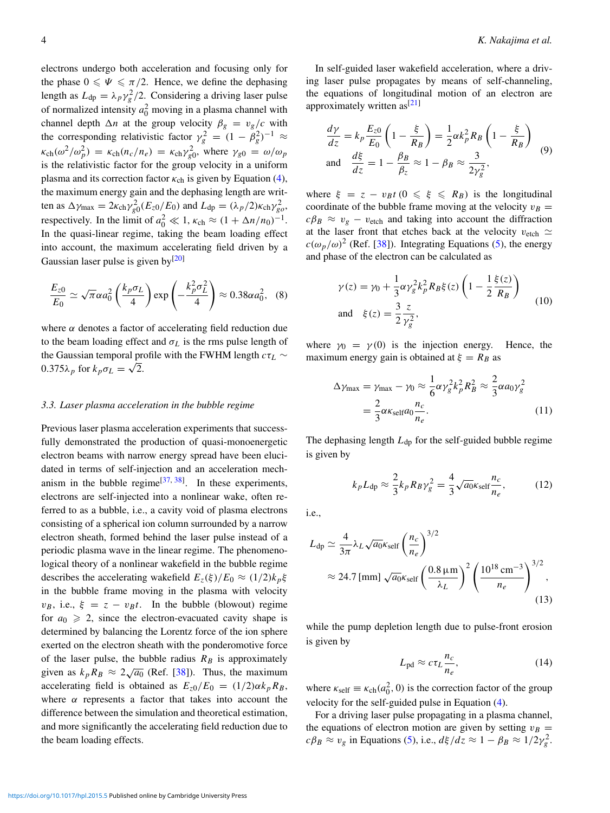electrons undergo both acceleration and focusing only for the phase  $0 \le \Psi \le \pi/2$ . Hence, we define the dephasing length as  $L_{dp} = \lambda_p \gamma_g^2 / 2$ . Considering a driving laser pulse of normalized intensity  $a_0^2$  moving in a plasma channel with channel depth  $\Delta n$  at the group velocity  $\beta_g = v_g/c$  with the corresponding relativistic factor  $\gamma_g^2 = (1 - \beta_g^2)^{-1} \approx$  $\kappa_{ch}(\omega^2/\omega_p^2) = \kappa_{ch}(n_c/n_e) = \kappa_{ch}\gamma_{g0}^2$ , where  $\gamma_{g0} = \omega/\omega_p$ is the relativistic factor for the group velocity in a uniform plasma and its correction factor  $\kappa_{ch}$  is given by Equation (4), the maximum energy gain and the dephasing length are written as  $\Delta \gamma_{\text{max}} = 2\kappa_{\text{ch}}\gamma_{g0}^2(E_{z0}/E_0)$  and  $L_{dp} = (\lambda_p/2)\kappa_{\text{ch}}\gamma_{g0}^2$ , respectively. In the limit of  $a_0^2 \ll 1$ ,  $\kappa_{ch} \approx (1 + \Delta n/n_0)^{-1}$ . In the quasi-linear regime, taking the beam loading effect into account, the maximum accelerating field driven by a Gaussian laser pulse is given by $[20]$ 

$$
\frac{E_{z0}}{E_0} \simeq \sqrt{\pi} \alpha a_0^2 \left(\frac{k_p \sigma_L}{4}\right) \exp\left(-\frac{k_p^2 \sigma_L^2}{4}\right) \approx 0.38 \alpha a_0^2, \quad (8)
$$

where  $\alpha$  denotes a factor of accelerating field reduction due to the beam loading effect and  $\sigma_L$  is the rms pulse length of the Gaussian temporal profile with the FWHM length *c*τ*<sup>L</sup>* ∼  $0.375\lambda_p$  for  $k_p\sigma_L = \sqrt{2}$ .

#### *3.3. Laser plasma acceleration in the bubble regime*

Previous laser plasma acceleration experiments that successfully demonstrated the production of quasi-monoenergetic electron beams with narrow energy spread have been elucidated in terms of self-injection and an acceleration mechanism in the bubble regime<sup>[37, 38]</sup>. In these experiments, electrons are self-injected into a nonlinear wake, often referred to as a bubble, i.e., a cavity void of plasma electrons consisting of a spherical ion column surrounded by a narrow electron sheath, formed behind the laser pulse instead of a periodic plasma wave in the linear regime. The phenomenological theory of a nonlinear wakefield in the bubble regime describes the accelerating wakefield  $E_z(\xi)/E_0 \approx (1/2)k_p\xi$ in the bubble frame moving in the plasma with velocity  $v_B$ , i.e.,  $\xi = z - v_B t$ . In the bubble (blowout) regime for  $a_0 \ge 2$ , since the electron-evacuated cavity shape is determined by balancing the Lorentz force of the ion sphere exerted on the electron sheath with the ponderomotive force of the laser pulse, the bubble radius  $R_B$  is approximately given as  $k_p R_B \approx 2\sqrt{a_0}$  (Ref. [38]). Thus, the maximum accelerating field is obtained as  $E_{z0}/E_0 = (1/2)\alpha k_p R_B$ , where  $\alpha$  represents a factor that takes into account the difference between the simulation and theoretical estimation, and more significantly the accelerating field reduction due to the beam loading effects.

In self-guided laser wakefield acceleration, where a driving laser pulse propagates by means of self-channeling, the equations of longitudinal motion of an electron are approximately written as  $[21]$ 

$$
\frac{d\gamma}{dz} = k_p \frac{E_{z0}}{E_0} \left( 1 - \frac{\xi}{R_B} \right) = \frac{1}{2} \alpha k_p^2 R_B \left( 1 - \frac{\xi}{R_B} \right)
$$
  
and 
$$
\frac{d\xi}{dz} = 1 - \frac{\beta_B}{\beta_z} \approx 1 - \beta_B \approx \frac{3}{2\gamma_g^2},
$$
 (9)

where  $\xi = z - v_B t$  ( $0 \le \xi \le R_B$ ) is the longitudinal coordinate of the bubble frame moving at the velocity  $v_B =$  $c\beta_B \approx v_g - v_{\text{etch}}$  and taking into account the diffraction at the laser front that etches back at the velocity  $v_{\text{etch}} \simeq$  $c(\omega_p/\omega)^2$  (Ref. [38]). Integrating Equations (5), the energy and phase of the electron can be calculated as

$$
\gamma(z) = \gamma_0 + \frac{1}{3} \alpha \gamma_g^2 k_p^2 R_B \xi(z) \left( 1 - \frac{1}{2} \frac{\xi(z)}{R_B} \right)
$$
  
and 
$$
\xi(z) = \frac{3}{2} \frac{z}{\gamma_g^2},
$$
 (10)

where  $\gamma_0 = \gamma(0)$  is the injection energy. Hence, the maximum energy gain is obtained at  $\xi = R_B$  as

$$
\Delta \gamma_{\text{max}} = \gamma_{\text{max}} - \gamma_0 \approx \frac{1}{6} \alpha \gamma_g^2 k_p^2 R_B^2 \approx \frac{2}{3} \alpha a_0 \gamma_g^2
$$

$$
= \frac{2}{3} \alpha \kappa_{\text{self}} a_0 \frac{n_c}{n_e}.
$$
(11)

The dephasing length  $L_{dp}$  for the self-guided bubble regime is given by

$$
k_p L_{dp} \approx \frac{2}{3} k_p R_B \gamma_g^2 = \frac{4}{3} \sqrt{a_0} \kappa_{\text{self}} \frac{n_c}{n_e},\tag{12}
$$

i.e.,

$$
L_{dp} \simeq \frac{4}{3\pi} \lambda_L \sqrt{a_0} \kappa_{\text{self}} \left(\frac{n_c}{n_e}\right)^{3/2}
$$
  

$$
\approx 24.7 \,\text{[mm]} \sqrt{a_0} \kappa_{\text{self}} \left(\frac{0.8 \,\mu\text{m}}{\lambda_L}\right)^2 \left(\frac{10^{18} \,\text{cm}^{-3}}{n_e}\right)^{3/2},\tag{13}
$$

while the pump depletion length due to pulse-front erosion is given by

$$
L_{\rm pd} \approx c\tau_L \frac{n_c}{n_e},\tag{14}
$$

where  $\kappa_{\text{self}} \equiv \kappa_{\text{ch}}(a_0^2, 0)$  is the correction factor of the group velocity for the self-guided pulse in Equation (4).

For a driving laser pulse propagating in a plasma channel, the equations of electron motion are given by setting  $v_B =$  $c\beta_B \approx v_g$  in Equations (5), i.e.,  $d\xi/dz \approx 1 - \beta_B \approx 1/2\gamma_g^2$ .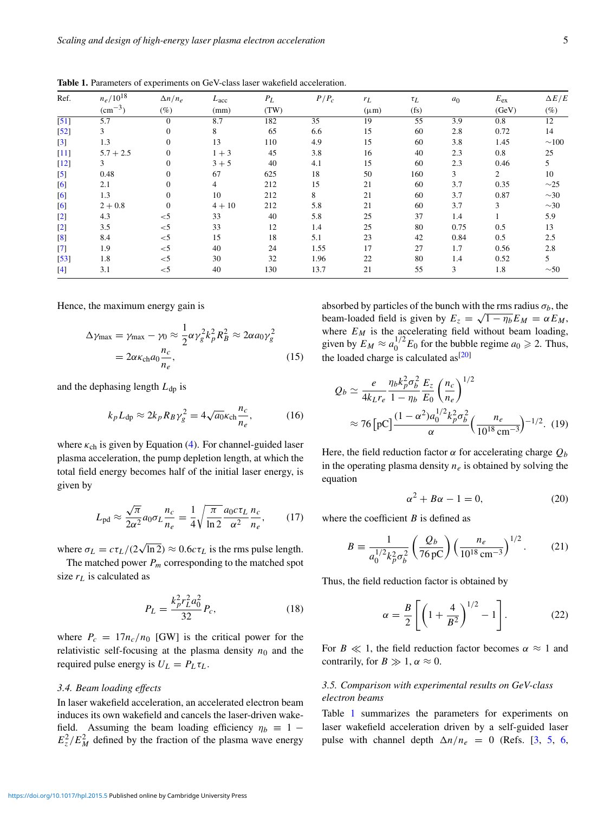| Ref.              | $n_e/10^{18}$<br>$\rm (cm^{-3})$ | $\Delta n/n_e$<br>$(\%)$ | L <sub>acc</sub><br>(mm) | $P_L$<br>(TW) | $P/P_c$ | $r_L$<br>$(\mu m)$ | $\tau_L$<br>(f <sub>S</sub> ) | a <sub>0</sub> | $E_{ex}$<br>(GeV) | $\Delta E/E$<br>$(\%)$ |
|-------------------|----------------------------------|--------------------------|--------------------------|---------------|---------|--------------------|-------------------------------|----------------|-------------------|------------------------|
|                   |                                  |                          |                          |               |         |                    |                               |                |                   |                        |
| $\left[52\right]$ | 3                                | $\mathbf{0}$             | 8                        | 65            | 6.6     | 15                 | 60                            | 2.8            | 0.72              | 14                     |
| $[3]$             | 1.3                              | $\mathbf{0}$             | 13                       | 110           | 4.9     | 15                 | 60                            | 3.8            | 1.45              | $\sim$ 100             |
| $[11]$            | $5.7 + 2.5$                      | $\Omega$                 | $1 + 3$                  | 45            | 3.8     | 16                 | 40                            | 2.3            | 0.8               | 25                     |
| $[12]$            | 3                                | $\Omega$                 | $3 + 5$                  | 40            | 4.1     | 15                 | 60                            | 2.3            | 0.46              | 5                      |
| $\left[5\right]$  | 0.48                             | $\mathbf{0}$             | 67                       | 625           | 18      | 50                 | 160                           | 3              | $\overline{2}$    | 10                     |
| [6]               | 2.1                              | $\mathbf{0}$             | $\overline{4}$           | 212           | 15      | 21                 | 60                            | 3.7            | 0.35              | $\sim$ 25              |
| [6]               | 1.3                              | $\mathbf{0}$             | 10                       | 212           | 8       | 21                 | 60                            | 3.7            | 0.87              | $\sim$ 30              |
| [6]               | $2 + 0.8$                        | $\Omega$                 | $4 + 10$                 | 212           | 5.8     | 21                 | 60                            | 3.7            | 3                 | $\sim$ 30              |
| $[2]$             | 4.3                              | $<$ 5                    | 33                       | 40            | 5.8     | 25                 | 37                            | 1.4            |                   | 5.9                    |
| $[2]$             | 3.5                              | $<$ 5                    | 33                       | 12            | 1.4     | 25                 | 80                            | 0.75           | 0.5               | 13                     |
| $\left[ 8\right]$ | 8.4                              | $<$ 5                    | 15                       | 18            | 5.1     | 23                 | 42                            | 0.84           | 0.5               | 2.5                    |
| $[7]$             | 1.9                              | $<$ 5                    | 40                       | 24            | 1.55    | 17                 | 27                            | 1.7            | 0.56              | 2.8                    |
| $[53]$            | 1.8                              | $<$ 5                    | 30                       | 32            | 1.96    | 22                 | 80                            | 1.4            | 0.52              | 5                      |
| $[4]$             | 3.1                              | $<$ 5                    | 40                       | 130           | 13.7    | 21                 | 55                            | 3              | 1.8               | $\sim 50$              |

Table 1. Parameters of experiments on GeV-class laser wakefield acceleration.

Hence, the maximum energy gain is

$$
\Delta \gamma_{\text{max}} = \gamma_{\text{max}} - \gamma_0 \approx \frac{1}{2} \alpha \gamma_g^2 k_p^2 R_B^2 \approx 2 \alpha a_0 \gamma_g^2
$$
  
=  $2 \alpha \kappa_{\text{ch}} a_0 \frac{n_c}{n_e}$ , (15)

and the dephasing length  $L_{dp}$  is

$$
k_p L_{dp} \approx 2k_p R_B \gamma_g^2 = 4\sqrt{a_0} \kappa_{ch} \frac{n_c}{n_e},\tag{16}
$$

where  $\kappa_{ch}$  is given by Equation (4). For channel-guided laser plasma acceleration, the pump depletion length, at which the total field energy becomes half of the initial laser energy, is given by

$$
L_{\rm pd} \approx \frac{\sqrt{\pi}}{2\alpha^2} a_0 \sigma_L \frac{n_c}{n_e} = \frac{1}{4} \sqrt{\frac{\pi}{\ln 2}} \frac{a_0 c \tau_L}{\alpha^2} \frac{n_c}{n_e},\qquad(17)
$$

where  $\sigma_L = c \tau_L / (2 \sqrt{\ln 2}) \approx 0.6 c \tau_L$  is the rms pulse length.

The matched power  $P_m$  corresponding to the matched spot size  $r<sub>L</sub>$  is calculated as

$$
P_L = \frac{k_p^2 r_L^2 a_0^2}{32} P_c,\tag{18}
$$

where  $P_c = 17n_c/n_0$  [GW] is the critical power for the relativistic self-focusing at the plasma density  $n_0$  and the required pulse energy is  $U_L = P_L \tau_L$ .

# *3.4. Beam loading effects*

In laser wakefield acceleration, an accelerated electron beam induces its own wakefield and cancels the laser-driven wakefield. Assuming the beam loading efficiency  $\eta_b \equiv 1 E_z^2/E_M^2$  defined by the fraction of the plasma wave energy

absorbed by particles of the bunch with the rms radius  $\sigma_b$ , the beam-loaded field is given by  $E_z = \sqrt{1 - \eta_b} E_M = \alpha E_M$ , where  $E_M$  is the accelerating field without beam loading, given by  $E_M \approx a_0^{1/2} E_0$  for the bubble regime  $a_0 \ge 2$ . Thus, the loaded charge is calculated as $[20]$ 

$$
Q_b \simeq \frac{e}{4k_L r_e} \frac{\eta_b k_p^2 \sigma_b^2}{1 - \eta_b} \frac{E_z}{E_0} \left(\frac{n_c}{n_e}\right)^{1/2}
$$
  

$$
\approx 76 \left[\text{pC}\right] \frac{(1 - \alpha^2) a_0^{1/2} k_p^2 \sigma_b^2}{\alpha} \left(\frac{n_e}{10^{18} \text{ cm}^{-3}}\right)^{-1/2} . \tag{19}
$$

Here, the field reduction factor  $\alpha$  for accelerating charge  $Q_b$ in the operating plasma density  $n_e$  is obtained by solving the equation

$$
\alpha^2 + B\alpha - 1 = 0,\tag{20}
$$

where the coefficient *B* is defined as

$$
B \equiv \frac{1}{a_0^{1/2} k_p^2 \sigma_b^2} \left(\frac{Q_b}{76 \,\text{pc}}\right) \left(\frac{n_e}{10^{18} \,\text{cm}^{-3}}\right)^{1/2}.
$$
 (21)

Thus, the field reduction factor is obtained by

$$
\alpha = \frac{B}{2} \left[ \left( 1 + \frac{4}{B^2} \right)^{1/2} - 1 \right].
$$
 (22)

For  $B \ll 1$ , the field reduction factor becomes  $\alpha \approx 1$  and contrarily, for  $B \gg 1$ ,  $\alpha \approx 0$ .

# *3.5. Comparison with experimental results on GeV-class electron beams*

Table 1 summarizes the parameters for experiments on laser wakefield acceleration driven by a self-guided laser pulse with channel depth  $\Delta n/n_e = 0$  (Refs. [3, 5, 6,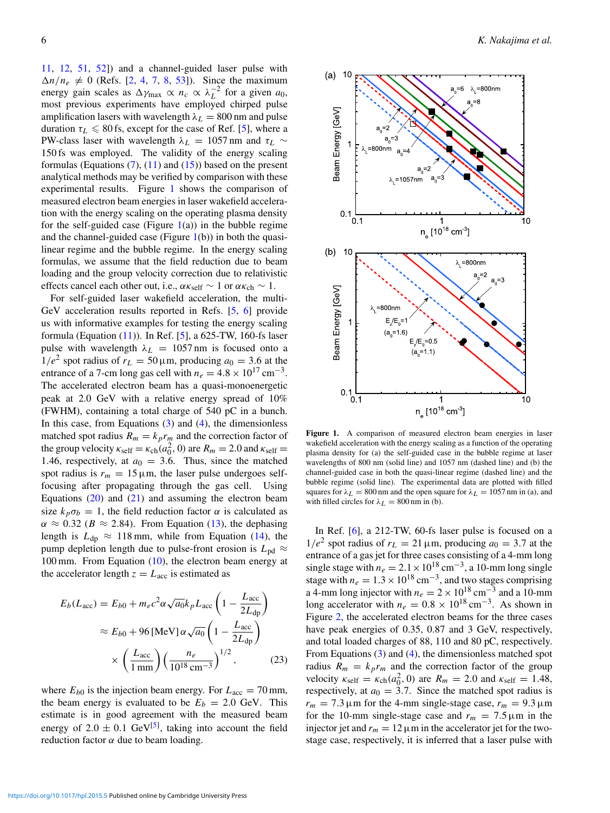11, 12, 51, 52]) and a channel-guided laser pulse with  $\Delta n/n_e \neq 0$  (Refs. [2, 4, 7, 8, 53]). Since the maximum energy gain scales as  $\Delta \gamma_{\text{max}} \propto n_c \propto \lambda_L^{-2}$  for a given  $a_0$ , most previous experiments have employed chirped pulse amplification lasers with wavelength  $\lambda_L = 800$  nm and pulse duration  $\tau_L \leq 80$  fs, except for the case of Ref. [5], where a PW-class laser with wavelength  $\lambda_L$  = 1057 nm and  $\tau_L$  ∼ 150 fs was employed. The validity of the energy scaling formulas (Equations  $(7)$ ,  $(11)$  and  $(15)$ ) based on the present analytical methods may be verified by comparison with these experimental results. Figure 1 shows the comparison of measured electron beam energies in laser wakefield acceleration with the energy scaling on the operating plasma density for the self-guided case (Figure  $1(a)$ ) in the bubble regime and the channel-guided case (Figure  $1(b)$ ) in both the quasilinear regime and the bubble regime. In the energy scaling formulas, we assume that the field reduction due to beam loading and the group velocity correction due to relativistic effects cancel each other out, i.e.,  $\alpha \kappa_{\rm self} \sim 1$  or  $\alpha \kappa_{\rm ch} \sim 1$ .

For self-guided laser wakefield acceleration, the multi-GeV acceleration results reported in Refs. [5, 6] provide us with informative examples for testing the energy scaling formula (Equation  $(11)$ ). In Ref. [5], a 625-TW, 160-fs laser pulse with wavelength  $\lambda_L = 1057$  nm is focused onto a  $1/e^2$  spot radius of  $r_L = 50 \,\mu\text{m}$ , producing  $a_0 = 3.6$  at the entrance of a 7-cm long gas cell with  $n_e = 4.8 \times 10^{17}$  cm<sup>-3</sup>. The accelerated electron beam has a quasi-monoenergetic peak at 2.0 GeV with a relative energy spread of 10% (FWHM), containing a total charge of 540 pC in a bunch. In this case, from Equations  $(3)$  and  $(4)$ , the dimensionless matched spot radius  $R_m = k_p r_m$  and the correction factor of the group velocity  $\kappa_{\text{self}} = \kappa_{\text{ch}}(a_0^2, 0)$  are  $R_m = 2.0$  and  $\kappa_{\text{self}} =$ 1.46, respectively, at  $a_0 = 3.6$ . Thus, since the matched spot radius is  $r_m = 15 \,\mu \text{m}$ , the laser pulse undergoes selffocusing after propagating through the gas cell. Using Equations  $(20)$  and  $(21)$  and assuming the electron beam size  $k_p \sigma_b = 1$ , the field reduction factor  $\alpha$  is calculated as  $\alpha \approx 0.32$  ( $B \approx 2.84$ ). From Equation (13), the dephasing length is  $L_{dp} \approx 118$  mm, while from Equation (14), the pump depletion length due to pulse-front erosion is  $L_{\text{pd}} \approx$ 100 mm. From Equation (10), the electron beam energy at the accelerator length  $z = L<sub>acc</sub>$  is estimated as

$$
E_b(L_{\text{acc}}) = E_{b0} + m_e c^2 \alpha \sqrt{a_0} k_p L_{\text{acc}} \left( 1 - \frac{L_{\text{acc}}}{2L_{\text{dp}}} \right)
$$

$$
\approx E_{b0} + 96 \left[ \text{MeV} \right] \alpha \sqrt{a_0} \left( 1 - \frac{L_{\text{acc}}}{2L_{\text{dp}}} \right)
$$

$$
\times \left( \frac{L_{\text{acc}}}{1 \text{ mm}} \right) \left( \frac{n_e}{10^{18} \text{ cm}^{-3}} \right)^{1/2}, \tag{23}
$$

where  $E_{b0}$  is the injection beam energy. For  $L_{\text{acc}} = 70 \text{ mm}$ , the beam energy is evaluated to be  $E_b = 2.0$  GeV. This estimate is in good agreement with the measured beam energy of  $2.0 \pm 0.1$  GeV<sup>[5]</sup>, taking into account the field reduction factor  $\alpha$  due to beam loading.



Figure 1. A comparison of measured electron beam energies in laser wakefield acceleration with the energy scaling as a function of the operating plasma density for (a) the self-guided case in the bubble regime at laser wavelengths of 800 nm (solid line) and 1057 nm (dashed line) and (b) the channel-guided case in both the quasi-linear regime (dashed line) and the bubble regime (solid line). The experimental data are plotted with filled squares for  $\lambda_L = 800$  nm and the open square for  $\lambda_L = 1057$  nm in (a), and with filled circles for  $\lambda_L = 800$  nm in (b).

In Ref. [6], a 212-TW, 60-fs laser pulse is focused on a  $1/e^2$  spot radius of  $r_L = 21 \,\mu$ m, producing  $a_0 = 3.7$  at the entrance of a gas jet for three cases consisting of a 4-mm long single stage with  $n_e = 2.1 \times 10^{18}$  cm<sup>-3</sup>, a 10-mm long single stage with  $n_e = 1.3 \times 10^{18} \text{ cm}^{-3}$ , and two stages comprising a 4-mm long injector with  $n_e = 2 \times 10^{18} \text{ cm}^{-3}$  and a 10-mm long accelerator with  $n_e = 0.8 \times 10^{18} \text{ cm}^{-3}$ . As shown in Figure 2, the accelerated electron beams for the three cases have peak energies of 0.35, 0.87 and 3 GeV, respectively, and total loaded charges of 88, 110 and 80 pC, respectively. From Equations (3) and (4), the dimensionless matched spot radius  $R_m = k_p r_m$  and the correction factor of the group velocity  $\kappa_{\text{self}} = \kappa_{\text{ch}}(a_0^2, 0)$  are  $R_m = 2.0$  and  $\kappa_{\text{self}} = 1.48$ , respectively, at  $a_0 = 3.7$ . Since the matched spot radius is  $r_m = 7.3 \,\mu \text{m}$  for the 4-mm single-stage case,  $r_m = 9.3 \,\mu \text{m}$ for the 10-mm single-stage case and  $r_m = 7.5 \,\text{\ensuremath{\mu}}\text{m}$  in the injector jet and  $r_m = 12 \mu m$  in the accelerator jet for the twostage case, respectively, it is inferred that a laser pulse with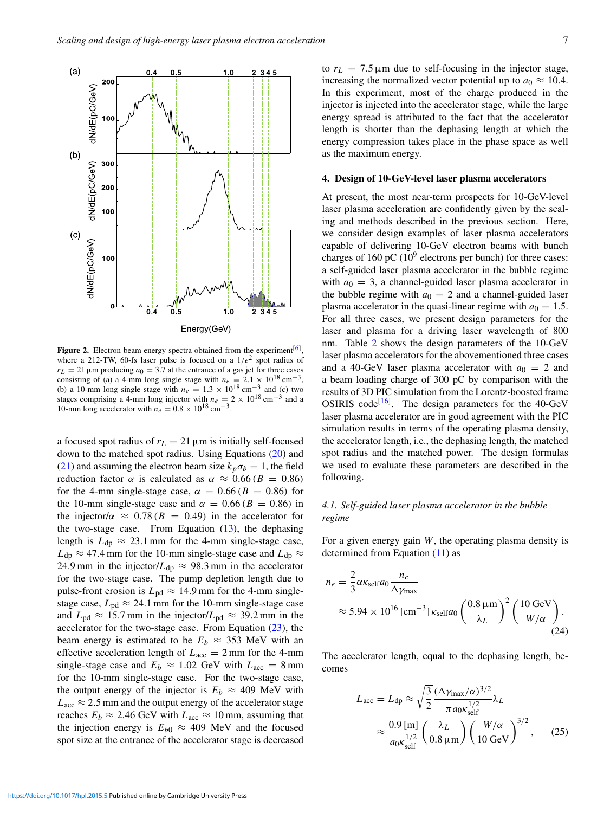

Figure 2. Electron beam energy spectra obtained from the experiment $[6]$ , where a 212-TW, 60-fs laser pulse is focused on a  $1/e^2$  spot radius of  $r_L = 21 \,\mu \text{m}$  producing  $a_0 = 3.7$  at the entrance of a gas jet for three cases consisting of (a) a 4-mm long single stage with  $n_e = 2.1 \times 10^{18} \text{ cm}^{-3}$ , (b) a 10-mm long single stage with  $n_e = 1.3 \times 10^{18} \text{ cm}^{-3}$  and (c) two stages comprising a 4-mm long injector with  $n_e = 2 \times 10^{18} \text{ cm}^{-3}$  and a 10-mm long accelerator with  $n_e = 0.8 \times 10^{18} \text{ cm}^{-3}$ .

a focused spot radius of  $r<sub>L</sub> = 21 \,\mu m$  is initially self-focused down to the matched spot radius. Using Equations (20) and (21) and assuming the electron beam size  $k_p \sigma_b = 1$ , the field reduction factor  $\alpha$  is calculated as  $\alpha \approx 0.66$  ( $B = 0.86$ ) for the 4-mm single-stage case,  $\alpha = 0.66$  ( $B = 0.86$ ) for the 10-mm single-stage case and  $\alpha = 0.66$  ( $B = 0.86$ ) in the injector/ $\alpha \approx 0.78$  ( $B = 0.49$ ) in the accelerator for the two-stage case. From Equation  $(13)$ , the dephasing length is  $L_{dp} \approx 23.1$  mm for the 4-mm single-stage case,  $L_{dp} \approx 47.4$  mm for the 10-mm single-stage case and  $L_{dp} \approx$ 24.9 mm in the injector/ $L_{dp} \approx 98.3$  mm in the accelerator for the two-stage case. The pump depletion length due to pulse-front erosion is  $L_{pd} \approx 14.9$  mm for the 4-mm singlestage case,  $L_{\text{pd}} \approx 24.1 \text{ mm}$  for the 10-mm single-stage case and  $L_{\text{pd}} \approx 15.7 \text{ mm}$  in the injector/ $L_{\text{pd}} \approx 39.2 \text{ mm}$  in the accelerator for the two-stage case. From Equation  $(23)$ , the beam energy is estimated to be  $E_b \approx 353$  MeV with an effective acceleration length of  $L_{\text{acc}} = 2 \text{ mm}$  for the 4-mm single-stage case and  $E_b \approx 1.02$  GeV with  $L_{\text{acc}} = 8 \text{ mm}$ for the 10-mm single-stage case. For the two-stage case, the output energy of the injector is  $E_b \approx 409$  MeV with  $L_{\text{acc}} \approx 2.5$  mm and the output energy of the accelerator stage reaches  $E_b \approx 2.46$  GeV with  $L_{\text{acc}} \approx 10$  mm, assuming that the injection energy is  $E_{b0} \approx 409$  MeV and the focused spot size at the entrance of the accelerator stage is decreased to  $r_L = 7.5 \,\mu\text{m}$  due to self-focusing in the injector stage, increasing the normalized vector potential up to  $a_0 \approx 10.4$ . In this experiment, most of the charge produced in the injector is injected into the accelerator stage, while the large energy spread is attributed to the fact that the accelerator length is shorter than the dephasing length at which the energy compression takes place in the phase space as well as the maximum energy.

#### 4. Design of 10-GeV-level laser plasma accelerators

At present, the most near-term prospects for 10-GeV-level laser plasma acceleration are confidently given by the scaling and methods described in the previous section. Here, we consider design examples of laser plasma accelerators capable of delivering 10-GeV electron beams with bunch charges of 160 pC  $(10^9$  electrons per bunch) for three cases: a self-guided laser plasma accelerator in the bubble regime with  $a_0 = 3$ , a channel-guided laser plasma accelerator in the bubble regime with  $a_0 = 2$  and a channel-guided laser plasma accelerator in the quasi-linear regime with  $a_0 = 1.5$ . For all three cases, we present design parameters for the laser and plasma for a driving laser wavelength of 800 nm. Table 2 shows the design parameters of the 10-GeV laser plasma accelerators for the abovementioned three cases and a 40-GeV laser plasma accelerator with  $a_0 = 2$  and a beam loading charge of 300 pC by comparison with the results of 3D PIC simulation from the Lorentz-boosted frame OSIRIS code<sup>[16]</sup>. The design parameters for the  $40$ -GeV laser plasma accelerator are in good agreement with the PIC simulation results in terms of the operating plasma density, the accelerator length, i.e., the dephasing length, the matched spot radius and the matched power. The design formulas we used to evaluate these parameters are described in the following.

# *4.1. Self-guided laser plasma accelerator in the bubble regime*

For a given energy gain *W*, the operating plasma density is determined from Equation (11) as

$$
n_e = \frac{2}{3} \alpha \kappa_{\text{self}} a_0 \frac{n_c}{\Delta \gamma_{\text{max}}} \approx 5.94 \times 10^{16} \, [\text{cm}^{-3}] \, \kappa_{\text{self}} a_0 \left( \frac{0.8 \, \mu \text{m}}{\lambda_L} \right)^2 \left( \frac{10 \, \text{GeV}}{W/\alpha} \right). \tag{24}
$$

The accelerator length, equal to the dephasing length, becomes

$$
L_{\rm acc} = L_{\rm dp} \approx \sqrt{\frac{3}{2}} \frac{(\Delta \gamma_{\rm max}/\alpha)^{3/2}}{\pi a_0 \kappa_{\rm self}^{1/2}} \lambda_L
$$
  
 
$$
\approx \frac{0.9 \,\mathrm{[m]}}{a_0 \kappa_{\rm self}^{1/2}} \left(\frac{\lambda_L}{0.8 \,\mathrm{\mu m}}\right) \left(\frac{W/\alpha}{10 \,\mathrm{GeV}}\right)^{3/2},\qquad(25)
$$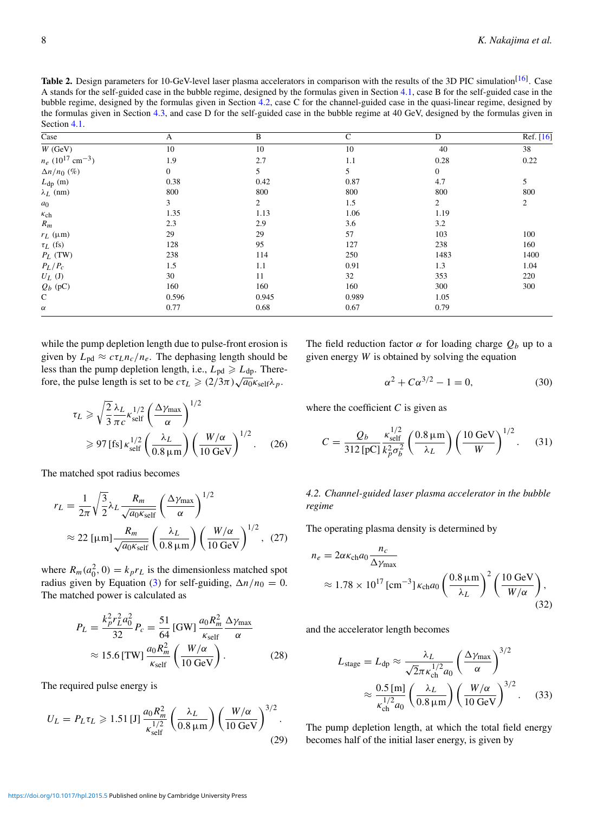Table 2. Design parameters for 10-GeV-level laser plasma accelerators in comparison with the results of the 3D PIC simulation<sup>[16]</sup>. Case A stands for the self-guided case in the bubble regime, designed by the formulas given in Section 4.1, case B for the self-guided case in the bubble regime, designed by the formulas given in Section 4.2, case C for the channel-guided case in the quasi-linear regime, designed by the formulas given in Section 4.3, and case D for the self-guided case in the bubble regime at 40 GeV, designed by the formulas given in Section 4.1.

| $\overline{\text{Case}}$                   | A            | B     | C     | D                | Ref. [16] |
|--------------------------------------------|--------------|-------|-------|------------------|-----------|
| $W$ (GeV)                                  | 10           | 10    | 10    | 40               | 38        |
| $n_e$ (10 <sup>17</sup> cm <sup>-3</sup> ) | 1.9          | 2.7   | 1.1   | 0.28             | 0.22      |
| $\Delta n/n_0$ (%)                         | $\mathbf{0}$ | 5     | 5     | $\boldsymbol{0}$ |           |
| $L_{dp}$ (m)                               | 0.38         | 0.42  | 0.87  | 4.7              | 5         |
| $\lambda_L$ (nm)                           | 800          | 800   | 800   | 800              | 800       |
| $a_0$                                      | 3            | 2     | 1.5   | $\overline{2}$   | 2         |
| $\kappa_{\rm ch}$                          | 1.35         | 1.13  | 1.06  | 1.19             |           |
| $R_m$                                      | 2.3          | 2.9   | 3.6   | 3.2              |           |
| $r_L$ ( $\mu$ m)                           | 29           | 29    | 57    | 103              | 100       |
| $\tau_L$ (fs)                              | 128          | 95    | 127   | 238              | 160       |
| $P_L$ (TW)                                 | 238          | 114   | 250   | 1483             | 1400      |
| $P_L/P_c$                                  | 1.5          | 1.1   | 0.91  | 1.3              | 1.04      |
| $U_L$ (J)                                  | 30           | 11    | 32    | 353              | 220       |
| $Q_b$ (pC)                                 | 160          | 160   | 160   | 300              | 300       |
| $\mathbf C$                                | 0.596        | 0.945 | 0.989 | 1.05             |           |
| $\alpha$                                   | 0.77         | 0.68  | 0.67  | 0.79             |           |

while the pump depletion length due to pulse-front erosion is given by  $L_{\text{pd}} \approx c \tau_L n_c / n_e$ . The dephasing length should be less than the pump depletion length, i.e.,  $L_{pd} \ge L_{dp}$ . Therefore, the pulse length is set to be  $c\tau_L \geq (2/3\pi)\sqrt{a_0}\kappa_{\text{self}}\lambda_p$ .

$$
\tau_L \ge \sqrt{\frac{2}{3}} \frac{\lambda_L}{\pi c} \kappa_{\text{self}}^{1/2} \left(\frac{\Delta \gamma_{\text{max}}}{\alpha}\right)^{1/2}
$$
  
\n
$$
\ge 97 \text{ [fs]} \kappa_{\text{self}}^{1/2} \left(\frac{\lambda_L}{0.8 \mu \text{m}}\right) \left(\frac{W/\alpha}{10 \text{ GeV}}\right)^{1/2}.
$$
 (26)

The matched spot radius becomes

$$
r_L = \frac{1}{2\pi} \sqrt{\frac{3}{2}} \lambda_L \frac{R_m}{\sqrt{a_0 \kappa_{\text{self}}}} \left(\frac{\Delta \gamma_{\text{max}}}{\alpha}\right)^{1/2}
$$
  
 
$$
\approx 22 \text{ [\mu m]} \frac{R_m}{\sqrt{a_0 \kappa_{\text{self}}}} \left(\frac{\lambda_L}{0.8 \text{ }\mu\text{m}}\right) \left(\frac{W/\alpha}{10 \text{ GeV}}\right)^{1/2}, (27)
$$

where  $R_m(a_0^2, 0) = k_p r_L$  is the dimensionless matched spot radius given by Equation (3) for self-guiding,  $\Delta n/n_0 = 0$ . The matched power is calculated as

$$
P_L = \frac{k_p^2 r_L^2 a_0^2}{32} P_c = \frac{51}{64} \text{ [GW]} \frac{a_0 R_m^2}{\kappa_{\text{self}}} \frac{\Delta \gamma_{\text{max}}}{\alpha}
$$

$$
\approx 15.6 \text{ [TW]} \frac{a_0 R_m^2}{\kappa_{\text{self}}} \left(\frac{W/\alpha}{10 \text{ GeV}}\right). \tag{28}
$$

The required pulse energy is

$$
U_L = P_L \tau_L \ge 1.51 \,[\text{J}] \,\frac{a_0 R_m^2}{\kappa_{\text{self}}^{1/2}} \left(\frac{\lambda_L}{0.8 \,\mu\text{m}}\right) \left(\frac{W/\alpha}{10 \,\text{GeV}}\right)^{3/2}.\tag{29}
$$

The field reduction factor  $\alpha$  for loading charge  $Q_b$  up to a given energy *W* is obtained by solving the equation

$$
\alpha^2 + C\alpha^{3/2} - 1 = 0,\t(30)
$$

where the coefficient  $C$  is given as

$$
C = \frac{Q_b}{312 \,\text{[pC]}} \frac{\kappa_{\text{self}}^{1/2}}{k_p^2 \sigma_b^2} \left(\frac{0.8 \,\mu\text{m}}{\lambda_L}\right) \left(\frac{10 \,\text{GeV}}{W}\right)^{1/2}.
$$
 (31)

*4.2. Channel-guided laser plasma accelerator in the bubble regime*

The operating plasma density is determined by

$$
n_e = 2\alpha \kappa_{\rm ch} a_0 \frac{n_c}{\Delta \gamma_{\rm max}} \approx 1.78 \times 10^{17} \, [\text{cm}^{-3}] \, \kappa_{\rm ch} a_0 \left( \frac{0.8 \, \mu \text{m}}{\lambda_L} \right)^2 \left( \frac{10 \, \text{GeV}}{W/\alpha} \right), \tag{32}
$$

and the accelerator length becomes

$$
L_{\text{stage}} = L_{\text{dp}} \approx \frac{\lambda_L}{\sqrt{2\pi \kappa_{\text{ch}}^{1/2} a_0}} \left(\frac{\Delta \gamma_{\text{max}}}{\alpha}\right)^{3/2}
$$

$$
\approx \frac{0.5 \,\text{[m]}}{\kappa_{\text{ch}}^{1/2} a_0} \left(\frac{\lambda_L}{0.8 \,\mu\text{m}}\right) \left(\frac{W/\alpha}{10 \,\text{GeV}}\right)^{3/2}.
$$
(33)

The pump depletion length, at which the total field energy becomes half of the initial laser energy, is given by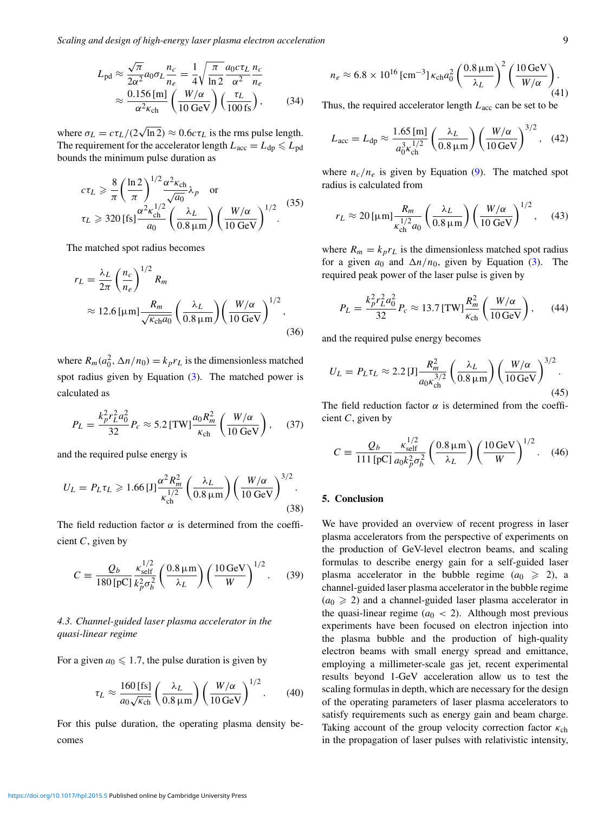*Scaling and design of high-energy laser plasma electron acceleration* 9

$$
L_{\rm pd} \approx \frac{\sqrt{\pi}}{2\alpha^2} a_0 \sigma_L \frac{n_c}{n_e} = \frac{1}{4} \sqrt{\frac{\pi}{\ln 2}} \frac{a_0 c \tau_L}{\alpha^2} \frac{n_c}{n_e}
$$

$$
\approx \frac{0.156 \,\mathrm{[m]}}{\alpha^2 \kappa_{\rm ch}} \left(\frac{W/\alpha}{10 \,\mathrm{GeV}}\right) \left(\frac{\tau_L}{100 \,\mathrm{fs}}\right),\tag{34}
$$

where  $\sigma_L = c \tau_L / (2 \sqrt{\ln 2}) \approx 0.6 c \tau_L$  is the rms pulse length. The requirement for the accelerator length  $L_{\rm acc} = L_{\rm dp} \leqslant L_{\rm pd}$ bounds the minimum pulse duration as

$$
c\tau_L \ge \frac{8}{\pi} \left(\frac{\ln 2}{\pi}\right)^{1/2} \frac{\alpha^2 \kappa_{\rm ch}}{\sqrt{a_0}} \lambda_p \quad \text{or}
$$
  

$$
\tau_L \ge 320 \,\text{[fs]} \frac{\alpha^2 \kappa_{\rm ch}^{1/2}}{a_0} \left(\frac{\lambda_L}{0.8 \,\mu\text{m}}\right) \left(\frac{W/\alpha}{10 \,\text{GeV}}\right)^{1/2}.
$$
 (35)

The matched spot radius becomes

$$
r_L = \frac{\lambda_L}{2\pi} \left(\frac{n_c}{n_e}\right)^{1/2} R_m
$$
  
 
$$
\approx 12.6 \, [\mu \text{m}] \frac{R_m}{\sqrt{\kappa_{\text{ch}} a_0}} \left(\frac{\lambda_L}{0.8 \, \mu \text{m}}\right) \left(\frac{W/\alpha}{10 \, \text{GeV}}\right)^{1/2}, \tag{36}
$$

where  $R_m(a_0^2, \Delta n/n_0) = k_p r_L$  is the dimensionless matched spot radius given by Equation  $(3)$ . The matched power is calculated as

$$
P_L = \frac{k_p^2 r_L^2 a_0^2}{32} P_c \approx 5.2 \text{ [TW]} \frac{a_0 R_m^2}{\kappa_{\text{ch}}} \left( \frac{W/\alpha}{10 \text{ GeV}} \right), \quad (37)
$$

and the required pulse energy is

$$
U_L = P_L \tau_L \geqslant 1.66 \,[\mathrm{J}] \frac{\alpha^2 R_m^2}{\kappa_{\mathrm{ch}}^{1/2}} \left( \frac{\lambda_L}{0.8 \,\mathrm{\mu m}} \right) \left( \frac{W/\alpha}{10 \,\mathrm{GeV}} \right)^{3/2}.
$$
\n(38)

The field reduction factor  $\alpha$  is determined from the coefficient *C*, given by

$$
C = \frac{Q_b}{180 \,\mathrm{[pC]}} \frac{\kappa_{\rm self}^{1/2}}{k_p^2 \sigma_b^2} \left(\frac{0.8 \,\mathrm{\mu m}}{\lambda_L}\right) \left(\frac{10 \,\mathrm{GeV}}{W}\right)^{1/2}.
$$
 (39)

# *4.3. Channel-guided laser plasma accelerator in the quasi-linear regime*

For a given  $a_0 \leq 1.7$ , the pulse duration is given by

$$
\tau_L \approx \frac{160 \,\mathrm{[fs]}}{a_0 \sqrt{\kappa_{\mathrm{ch}}}} \left( \frac{\lambda_L}{0.8 \,\mathrm{\mu m}} \right) \left( \frac{W/\alpha}{10 \,\mathrm{GeV}} \right)^{1/2} . \tag{40}
$$

For this pulse duration, the operating plasma density becomes

$$
n_e \approx 6.8 \times 10^{16} \, [\text{cm}^{-3}] \, \kappa_{\text{ch}} a_0^2 \left( \frac{0.8 \, \mu \text{m}}{\lambda_L} \right)^2 \left( \frac{10 \, \text{GeV}}{W/\alpha} \right). \tag{41}
$$

Thus, the required accelerator length *L*<sub>acc</sub> can be set to be

$$
L_{\rm acc} = L_{\rm dp} \approx \frac{1.65 \,\mathrm{[m]}}{a_0^3 \kappa_{\rm ch}^{1/2}} \left(\frac{\lambda_L}{0.8 \,\mu\mathrm{m}}\right) \left(\frac{W/\alpha}{10 \,\mathrm{GeV}}\right)^{3/2}, \quad (42)
$$

where  $n_c/n_e$  is given by Equation (9). The matched spot radius is calculated from

$$
r_L \approx 20 \,\mathrm{[\mu m]} \frac{R_m}{\kappa_{\text{ch}}^{1/2} a_0} \left(\frac{\lambda_L}{0.8 \,\mathrm{\mu m}}\right) \left(\frac{W/\alpha}{10 \,\mathrm{GeV}}\right)^{1/2},\quad(43)
$$

where  $R_m = k_p r_L$  is the dimensionless matched spot radius for a given  $a_0$  and  $\Delta n/n_0$ , given by Equation (3). The required peak power of the laser pulse is given by

$$
P_L = \frac{k_p^2 r_L^2 a_0^2}{32} P_c \approx 13.7 \, [\text{TW}] \frac{R_m^2}{\kappa_{\text{ch}}} \left( \frac{W/\alpha}{10 \, \text{GeV}} \right), \qquad (44)
$$

and the required pulse energy becomes

$$
U_L = P_L \tau_L \approx 2.2 \,[\text{J}] \frac{R_m^2}{a_0 \kappa_{\text{ch}}^{3/2}} \left(\frac{\lambda_L}{0.8 \,\mu\text{m}}\right) \left(\frac{W/\alpha}{10 \,\text{GeV}}\right)^{3/2}.\tag{45}
$$

The field reduction factor  $\alpha$  is determined from the coefficient *C*, given by

$$
C = \frac{Q_b}{111 \,[\text{pC}]} \frac{\kappa_{\text{self}}^{1/2}}{a_0 k_p^2 \sigma_b^2} \left(\frac{0.8 \,\mu\text{m}}{\lambda_L}\right) \left(\frac{10 \,\text{GeV}}{W}\right)^{1/2}.
$$
 (46)

# 5. Conclusion

We have provided an overview of recent progress in laser plasma accelerators from the perspective of experiments on the production of GeV-level electron beams, and scaling formulas to describe energy gain for a self-guided laser plasma accelerator in the bubble regime  $(a_0 \geq 2)$ , a channel-guided laser plasma accelerator in the bubble regime  $(a_0 \geq 2)$  and a channel-guided laser plasma accelerator in the quasi-linear regime  $(a<sub>0</sub> < 2)$ . Although most previous experiments have been focused on electron injection into the plasma bubble and the production of high-quality electron beams with small energy spread and emittance, employing a millimeter-scale gas jet, recent experimental results beyond 1-GeV acceleration allow us to test the scaling formulas in depth, which are necessary for the design of the operating parameters of laser plasma accelerators to satisfy requirements such as energy gain and beam charge. Taking account of the group velocity correction factor  $\kappa_{ch}$ in the propagation of laser pulses with relativistic intensity,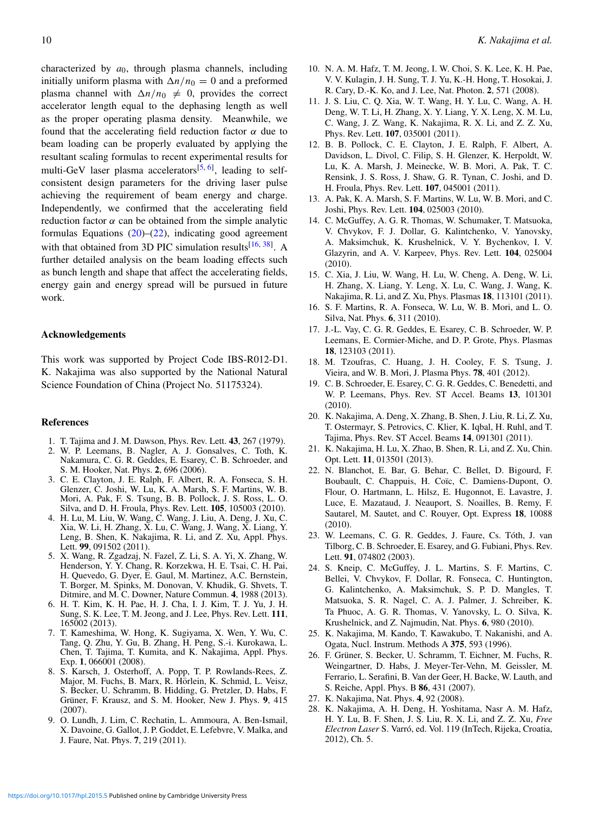characterized by *a*0, through plasma channels, including initially uniform plasma with  $\Delta n/n_0 = 0$  and a preformed plasma channel with  $\Delta n/n_0 \neq 0$ , provides the correct accelerator length equal to the dephasing length as well as the proper operating plasma density. Meanwhile, we found that the accelerating field reduction factor  $\alpha$  due to beam loading can be properly evaluated by applying the resultant scaling formulas to recent experimental results for multi-GeV laser plasma accelerators<sup>[5, 6]</sup>, leading to selfconsistent design parameters for the driving laser pulse achieving the requirement of beam energy and charge. Independently, we confirmed that the accelerating field reduction factor  $\alpha$  can be obtained from the simple analytic formulas Equations  $(20)$ – $(22)$ , indicating good agreement with that obtained from 3D PIC simulation results $[16, 38]$ . A further detailed analysis on the beam loading effects such as bunch length and shape that affect the accelerating fields, energy gain and energy spread will be pursued in future work.

### Acknowledgements

This work was supported by Project Code IBS-R012-D1. K. Nakajima was also supported by the National Natural Science Foundation of China (Project No. 51175324).

## References

- 1. T. Tajima and J. M. Dawson, Phys. Rev. Lett. 43, 267 (1979).
- 2. W. P. Leemans, B. Nagler, A. J. Gonsalves, C. Toth, K. Nakamura, C. G. R. Geddes, E. Esarey, C. B. Schroeder, and S. M. Hooker, Nat. Phys. 2, 696 (2006).
- 3. C. E. Clayton, J. E. Ralph, F. Albert, R. A. Fonseca, S. H. Glenzer, C. Joshi, W. Lu, K. A. Marsh, S. F. Martins, W. B. Mori, A. Pak, F. S. Tsung, B. B. Pollock, J. S. Ross, L. O. Silva, and D. H. Froula, Phys. Rev. Lett. 105, 105003 (2010).
- 4. H. Lu, M. Liu, W. Wang, C. Wang, J. Liu, A. Deng, J. Xu, C. Xia, W. Li, H. Zhang, X. Lu, C. Wang, J. Wang, X. Liang, Y. Leng, B. Shen, K. Nakajima, R. Li, and Z. Xu, Appl. Phys. Lett. 99, 091502 (2011).
- 5. X. Wang, R. Zgadzaj, N. Fazel, Z. Li, S. A. Yi, X. Zhang, W. Henderson, Y. Y. Chang, R. Korzekwa, H. E. Tsai, C. H. Pai, H. Quevedo, G. Dyer, E. Gaul, M. Martinez, A.C. Bernstein, T. Borger, M. Spinks, M. Donovan, V. Khudik, G. Shvets, T. Ditmire, and M. C. Downer, Nature Commun. 4, 1988 (2013).
- 6. H. T. Kim, K. H. Pae, H. J. Cha, I. J. Kim, T. J. Yu, J. H. Sung, S. K. Lee, T. M. Jeong, and J. Lee, Phys. Rev. Lett. 111, 165002 (2013).
- 7. T. Kameshima, W. Hong, K. Sugiyama, X. Wen, Y. Wu, C. Tang, Q. Zhu, Y. Gu, B. Zhang, H. Peng, S.-i. Kurokawa, L. Chen, T. Tajima, T. Kumita, and K. Nakajima, Appl. Phys. Exp. 1, 066001 (2008).
- 8. S. Karsch, J. Osterhoff, A. Popp, T. P. Rowlands-Rees, Z. Major, M. Fuchs, B. Marx, R. Hörlein, K. Schmid, L. Veisz, S. Becker, U. Schramm, B. Hidding, G. Pretzler, D. Habs, F. Grüner, F. Krausz, and S. M. Hooker, New J. Phys. 9, 415 (2007).
- 9. O. Lundh, J. Lim, C. Rechatin, L. Ammoura, A. Ben-Ismail, X. Davoine, G. Gallot, J. P. Goddet, E. Lefebvre, V. Malka, and J. Faure, Nat. Phys. 7, 219 (2011).
- 10. N. A. M. Hafz, T. M. Jeong, I. W. Choi, S. K. Lee, K. H. Pae, V. V. Kulagin, J. H. Sung, T. J. Yu, K.-H. Hong, T. Hosokai, J. R. Cary, D.-K. Ko, and J. Lee, Nat. Photon. 2, 571 (2008).
- 11. J. S. Liu, C. Q. Xia, W. T. Wang, H. Y. Lu, C. Wang, A. H. Deng, W. T. Li, H. Zhang, X. Y. Liang, Y. X. Leng, X. M. Lu, C. Wang, J. Z. Wang, K. Nakajima, R. X. Li, and Z. Z. Xu, Phys. Rev. Lett. 107, 035001 (2011).
- 12. B. B. Pollock, C. E. Clayton, J. E. Ralph, F. Albert, A. Davidson, L. Divol, C. Filip, S. H. Glenzer, K. Herpoldt, W. Lu, K. A. Marsh, J. Meinecke, W. B. Mori, A. Pak, T. C. Rensink, J. S. Ross, J. Shaw, G. R. Tynan, C. Joshi, and D. H. Froula, Phys. Rev. Lett. 107, 045001 (2011).
- 13. A. Pak, K. A. Marsh, S. F. Martins, W. Lu, W. B. Mori, and C. Joshi, Phys. Rev. Lett. 104, 025003 (2010).
- 14. C. McGuffey, A. G. R. Thomas, W. Schumaker, T. Matsuoka, V. Chvykov, F. J. Dollar, G. Kalintchenko, V. Yanovsky, A. Maksimchuk, K. Krushelnick, V. Y. Bychenkov, I. V. Glazyrin, and A. V. Karpeev, Phys. Rev. Lett. 104, 025004 (2010).
- 15. C. Xia, J. Liu, W. Wang, H. Lu, W. Cheng, A. Deng, W. Li, H. Zhang, X. Liang, Y. Leng, X. Lu, C. Wang, J. Wang, K. Nakajima, R. Li, and Z. Xu, Phys. Plasmas 18, 113101 (2011).
- 16. S. F. Martins, R. A. Fonseca, W. Lu, W. B. Mori, and L. O. Silva, Nat. Phys. 6, 311 (2010).
- 17. J.-L. Vay, C. G. R. Geddes, E. Esarey, C. B. Schroeder, W. P. Leemans, E. Cormier-Miche, and D. P. Grote, Phys. Plasmas 18, 123103 (2011).
- 18. M. Tzoufras, C. Huang, J. H. Cooley, F. S. Tsung, J. Vieira, and W. B. Mori, J. Plasma Phys. 78, 401 (2012).
- 19. C. B. Schroeder, E. Esarey, C. G. R. Geddes, C. Benedetti, and W. P. Leemans, Phys. Rev. ST Accel. Beams 13, 101301 (2010).
- 20. K. Nakajima, A. Deng, X. Zhang, B. Shen, J. Liu, R. Li, Z. Xu, T. Ostermayr, S. Petrovics, C. Klier, K. Iqbal, H. Ruhl, and T. Tajima, Phys. Rev. ST Accel. Beams 14, 091301 (2011).
- 21. K. Nakajima, H. Lu, X. Zhao, B. Shen, R. Li, and Z. Xu, Chin. Opt. Lett. 11, 013501 (2013).
- 22. N. Blanchot, E. Bar, G. Behar, C. Bellet, D. Bigourd, F. Boubault, C. Chappuis, H. Coïc, C. Damiens-Dupont, O. Flour, O. Hartmann, L. Hilsz, E. Hugonnot, E. Lavastre, J. Luce, E. Mazataud, J. Neauport, S. Noailles, B. Remy, F. Sautarel, M. Sautet, and C. Rouyer, Opt. Express 18, 10088 (2010).
- 23. W. Leemans, C. G. R. Geddes, J. Faure, Cs. Toth, J. van ´ Tilborg, C. B. Schroeder, E. Esarey, and G. Fubiani, Phys. Rev. Lett. 91, 074802 (2003).
- 24. S. Kneip, C. McGuffey, J. L. Martins, S. F. Martins, C. Bellei, V. Chvykov, F. Dollar, R. Fonseca, C. Huntington, G. Kalintchenko, A. Maksimchuk, S. P. D. Mangles, T. Matsuoka, S. R. Nagel, C. A. J. Palmer, J. Schreiber, K. Ta Phuoc, A. G. R. Thomas, V. Yanovsky, L. O. Silva, K. Krushelnick, and Z. Najmudin, Nat. Phys. 6, 980 (2010).
- 25. K. Nakajima, M. Kando, T. Kawakubo, T. Nakanishi, and A. Ogata, Nucl. Instrum. Methods A 375, 593 (1996).
- 26. F. Grüner, S. Becker, U. Schramm, T. Eichner, M. Fuchs, R. Weingartner, D. Habs, J. Meyer-Ter-Vehn, M. Geissler, M. Ferrario, L. Serafini, B. Van der Geer, H. Backe, W. Lauth, and S. Reiche, Appl. Phys. B 86, 431 (2007).
- 27. K. Nakajima, Nat. Phys. 4, 92 (2008).
- 28. K. Nakajima, A. H. Deng, H. Yoshitama, Nasr A. M. Hafz, H. Y. Lu, B. F. Shen, J. S. Liu, R. X. Li, and Z. Z. Xu, *Free Electron Laser* S. Varró, ed. Vol. 119 (InTech, Rijeka, Croatia, 2012), Ch. 5.